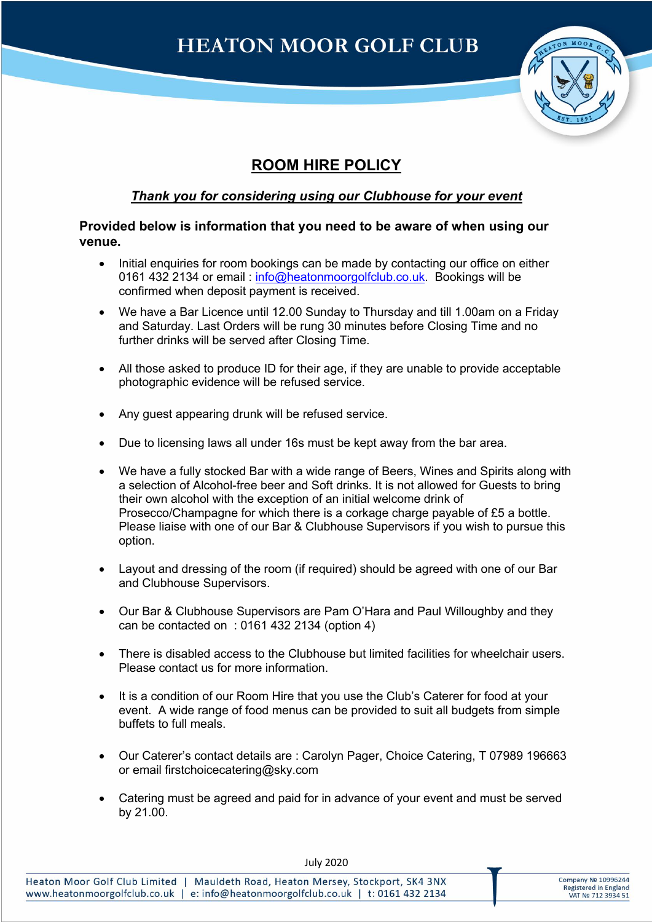# **HEATON MOOR GOLF CLUB**



# **ROOM HIRE POLICY**

## *Thank you for considering using our Clubhouse for your event*

### **Provided below is information that you need to be aware of when using our venue.**

- Initial enquiries for room bookings can be made by contacting our office on either 0161 432 2134 or email: info@heatonmoorgolfclub.co.uk. Bookings will be confirmed when deposit payment is received.
- We have a Bar Licence until 12.00 Sunday to Thursday and till 1.00am on a Friday and Saturday. Last Orders will be rung 30 minutes before Closing Time and no further drinks will be served after Closing Time.
- All those asked to produce ID for their age, if they are unable to provide acceptable photographic evidence will be refused service.
- Any guest appearing drunk will be refused service.
- Due to licensing laws all under 16s must be kept away from the bar area.
- We have a fully stocked Bar with a wide range of Beers, Wines and Spirits along with a selection of Alcohol-free beer and Soft drinks. It is not allowed for Guests to bring their own alcohol with the exception of an initial welcome drink of Prosecco/Champagne for which there is a corkage charge payable of £5 a bottle. Please liaise with one of our Bar & Clubhouse Supervisors if you wish to pursue this option.
- Layout and dressing of the room (if required) should be agreed with one of our Bar and Clubhouse Supervisors.
- Our Bar & Clubhouse Supervisors are Pam O'Hara and Paul Willoughby and they can be contacted on : 0161 432 2134 (option 4)
- There is disabled access to the Clubhouse but limited facilities for wheelchair users. Please contact us for more information.
- It is a condition of our Room Hire that you use the Club's Caterer for food at your event. A wide range of food menus can be provided to suit all budgets from simple buffets to full meals.
- Our Caterer's contact details are : Carolyn Pager, Choice Catering, T 07989 196663 or email firstchoicecatering@sky.com
- Catering must be agreed and paid for in advance of your event and must be served by 21.00.